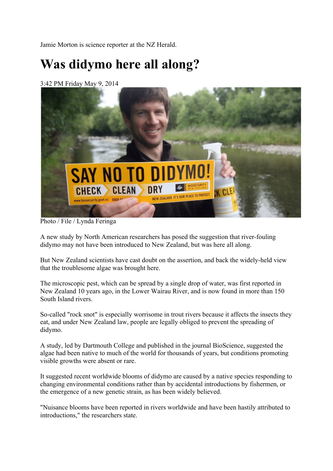Jamie Morton is science reporter at the NZ Herald.

## **Was didymo here all along?**

3:42 PM Friday May 9, 2014



Photo / File / Lynda Feringa

A new study by North American researchers has posed the suggestion that river-fouling didymo may not have been introduced to New Zealand, but was here all along.

But New Zealand scientists have cast doubt on the assertion, and back the widely-held view that the troublesome algae was brought here.

The microscopic pest, which can be spread by a single drop of water, was first reported in New Zealand 10 years ago, in the Lower Wairau River, and is now found in more than 150 South Island rivers.

So-called "rock snot" is especially worrisome in trout rivers because it affects the insects they eat, and under New Zealand law, people are legally obliged to prevent the spreading of didymo.

A study, led by Dartmouth College and published in the journal BioScience, suggested the algae had been native to much of the world for thousands of years, but conditions promoting visible growths were absent or rare.

It suggested recent worldwide blooms of didymo are caused by a native species responding to changing environmental conditions rather than by accidental introductions by fishermen, or the emergence of a new genetic strain, as has been widely believed.

"Nuisance blooms have been reported in rivers worldwide and have been hastily attributed to introductions," the researchers state.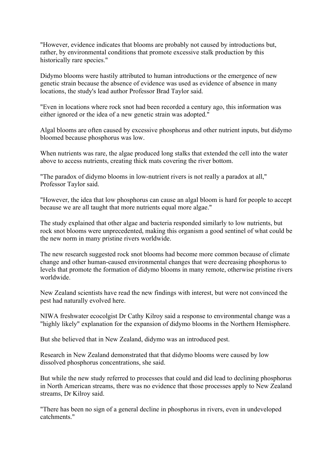"However, evidence indicates that blooms are probably not caused by introductions but, rather, by environmental conditions that promote excessive stalk production by this historically rare species."

Didymo blooms were hastily attributed to human introductions or the emergence of new genetic strain because the absence of evidence was used as evidence of absence in many locations, the study's lead author Professor Brad Taylor said.

"Even in locations where rock snot had been recorded a century ago, this information was either ignored or the idea of a new genetic strain was adopted."

Algal blooms are often caused by excessive phosphorus and other nutrient inputs, but didymo bloomed because phosphorus was low.

When nutrients was rare, the algae produced long stalks that extended the cell into the water above to access nutrients, creating thick mats covering the river bottom.

"The paradox of didymo blooms in low-nutrient rivers is not really a paradox at all," Professor Taylor said.

"However, the idea that low phosphorus can cause an algal bloom is hard for people to accept because we are all taught that more nutrients equal more algae."

The study explained that other algae and bacteria responded similarly to low nutrients, but rock snot blooms were unprecedented, making this organism a good sentinel of what could be the new norm in many pristine rivers worldwide.

The new research suggested rock snot blooms had become more common because of climate change and other human-caused environmental changes that were decreasing phosphorus to levels that promote the formation of didymo blooms in many remote, otherwise pristine rivers worldwide.

New Zealand scientists have read the new findings with interest, but were not convinced the pest had naturally evolved here.

NIWA freshwater ecocolgist Dr Cathy Kilroy said a response to environmental change was a "highly likely" explanation for the expansion of didymo blooms in the Northern Hemisphere.

But she believed that in New Zealand, didymo was an introduced pest.

Research in New Zealand demonstrated that that didymo blooms were caused by low dissolved phosphorus concentrations, she said.

But while the new study referred to processes that could and did lead to declining phosphorus in North American streams, there was no evidence that those processes apply to New Zealand streams, Dr Kilroy said.

"There has been no sign of a general decline in phosphorus in rivers, even in undeveloped catchments."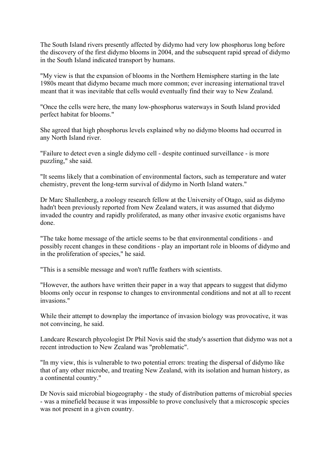The South Island rivers presently affected by didymo had very low phosphorus long before the discovery of the first didymo blooms in 2004, and the subsequent rapid spread of didymo in the South Island indicated transport by humans.

"My view is that the expansion of blooms in the Northern Hemisphere starting in the late 1980s meant that didymo became much more common; ever increasing international travel meant that it was inevitable that cells would eventually find their way to New Zealand.

"Once the cells were here, the many low-phosphorus waterways in South Island provided perfect habitat for blooms."

She agreed that high phosphorus levels explained why no didymo blooms had occurred in any North Island river.

"Failure to detect even a single didymo cell - despite continued surveillance - is more puzzling," she said.

"It seems likely that a combination of environmental factors, such as temperature and water chemistry, prevent the long-term survival of didymo in North Island waters."

Dr Marc Shallenberg, a zoology research fellow at the University of Otago, said as didymo hadn't been previously reported from New Zealand waters, it was assumed that didymo invaded the country and rapidly proliferated, as many other invasive exotic organisms have done.

"The take home message of the article seems to be that environmental conditions - and possibly recent changes in these conditions - play an important role in blooms of didymo and in the proliferation of species," he said.

"This is a sensible message and won't ruffle feathers with scientists.

"However, the authors have written their paper in a way that appears to suggest that didymo blooms only occur in response to changes to environmental conditions and not at all to recent invasions."

While their attempt to downplay the importance of invasion biology was provocative, it was not convincing, he said.

Landcare Research phycologist Dr Phil Novis said the study's assertion that didymo was not a recent introduction to New Zealand was "problematic".

"In my view, this is vulnerable to two potential errors: treating the dispersal of didymo like that of any other microbe, and treating New Zealand, with its isolation and human history, as a continental country."

Dr Novis said microbial biogeography - the study of distribution patterns of microbial species - was a minefield because it was impossible to prove conclusively that a microscopic species was not present in a given country.